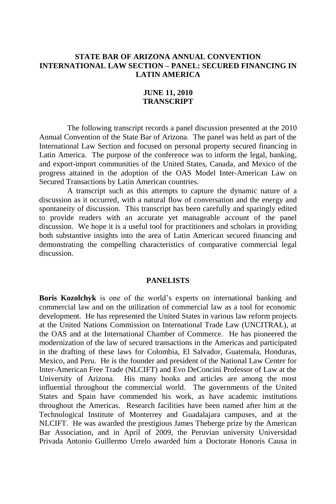### **STATE BAR OF ARIZONA ANNUAL CONVENTION INTERNATIONAL LAW SECTION – PANEL: SECURED FINANCING IN LATIN AMERICA**

#### **JUNE 11, 2010 TRANSCRIPT**

The following transcript records a panel discussion presented at the 2010 Annual Convention of the State Bar of Arizona. The panel was held as part of the International Law Section and focused on personal property secured financing in Latin America. The purpose of the conference was to inform the legal, banking, and export-import communities of the United States, Canada, and Mexico of the progress attained in the adoption of the OAS Model Inter-American Law on Secured Transactions by Latin American countries.

A transcript such as this attempts to capture the dynamic nature of a discussion as it occurred, with a natural flow of conversation and the energy and spontaneity of discussion. This transcript has been carefully and sparingly edited to provide readers with an accurate yet manageable account of the panel discussion. We hope it is a useful tool for practitioners and scholars in providing both substantive insights into the area of Latin American secured financing and demonstrating the compelling characteristics of comparative commercial legal discussion.

#### **PANELISTS**

**Boris Kozolchyk** is one of the world's experts on international banking and commercial law and on the utilization of commercial law as a tool for economic development. He has represented the United States in various law reform projects at the United Nations Commission on International Trade Law (UNCITRAL), at the OAS and at the International Chamber of Commerce. He has pioneered the modernization of the law of secured transactions in the Americas and participated in the drafting of these laws for Colombia, El Salvador, Guatemala, Honduras, Mexico, and Peru. He is the founder and president of the National Law Center for Inter-American Free Trade (NLCIFT) and Evo DeConcini Professor of Law at the University of Arizona. His many books and articles are among the most influential throughout the commercial world. The governments of the United States and Spain have commended his work, as have academic institutions throughout the Americas. Research facilities have been named after him at the Technological Institute of Monterrey and Guadalajara campuses, and at the NLCIFT. He was awarded the prestigious James Theberge prize by the American Bar Association, and in April of 2009, the Peruvian university Universidad Privada Antonio Guillermo Urrelo awarded him a Doctorate Honoris Causa in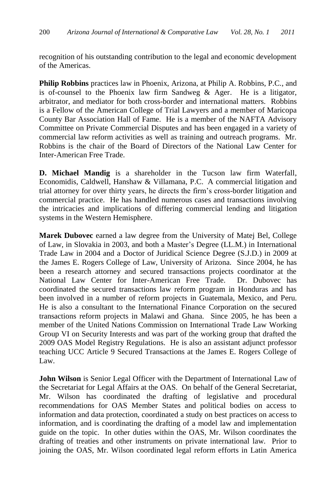recognition of his outstanding contribution to the legal and economic development of the Americas.

**Philip Robbins** practices law in Phoenix, Arizona, at Philip A. Robbins, P.C., and is of-counsel to the Phoenix law firm Sandweg & Ager. He is a litigator, arbitrator, and mediator for both cross-border and international matters. Robbins is a Fellow of the American College of Trial Lawyers and a member of Maricopa County Bar Association Hall of Fame. He is a member of the NAFTA Advisory Committee on Private Commercial Disputes and has been engaged in a variety of commercial law reform activities as well as training and outreach programs. Mr. Robbins is the chair of the Board of Directors of the National Law Center for Inter-American Free Trade.

**D. Michael Mandig** is a shareholder in the Tucson law firm Waterfall, Economidis, Caldwell, Hanshaw & Villamana, P.C. A commercial litigation and trial attorney for over thirty years, he directs the firm's cross-border litigation and commercial practice. He has handled numerous cases and transactions involving the intricacies and implications of differing commercial lending and litigation systems in the Western Hemisphere.

**Marek Dubovec** earned a law degree from the University of Matej Bel, College of Law, in Slovakia in 2003, and both a Master's Degree (LL.M.) in International Trade Law in 2004 and a Doctor of Juridical Science Degree (S.J.D.) in 2009 at the James E. Rogers College of Law, University of Arizona. Since 2004, he has been a research attorney and secured transactions projects coordinator at the National Law Center for Inter-American Free Trade. Dr. Dubovec has coordinated the secured transactions law reform program in Honduras and has been involved in a number of reform projects in Guatemala, Mexico, and Peru. He is also a consultant to the International Finance Corporation on the secured transactions reform projects in Malawi and Ghana. Since 2005, he has been a member of the United Nations Commission on International Trade Law Working Group VI on Security Interests and was part of the working group that drafted the 2009 OAS Model Registry Regulations. He is also an assistant adjunct professor teaching UCC Article 9 Secured Transactions at the James E. Rogers College of Law.

**John Wilson** is Senior Legal Officer with the Department of International Law of the Secretariat for Legal Affairs at the OAS. On behalf of the General Secretariat, Mr. Wilson has coordinated the drafting of legislative and procedural recommendations for OAS Member States and political bodies on access to information and data protection, coordinated a study on best practices on access to information, and is coordinating the drafting of a model law and implementation guide on the topic. In other duties within the OAS, Mr. Wilson coordinates the drafting of treaties and other instruments on private international law. Prior to joining the OAS, Mr. Wilson coordinated legal reform efforts in Latin America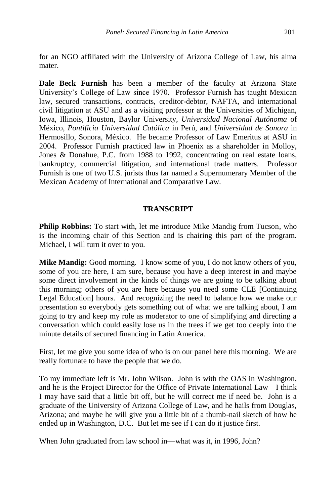for an NGO affiliated with the University of Arizona College of Law, his alma mater.

**Dale Beck Furnish** has been a member of the faculty at Arizona State University's College of Law since 1970. Professor Furnish has taught Mexican law, secured transactions, contracts, creditor-debtor, NAFTA, and international civil litigation at ASU and as a visiting professor at the Universities of Michigan, Iowa, Illinois, Houston, Baylor University, *Universidad Nacional Autónoma* of México, *Pontificia Universidad Católica* in Perú, and *Universidad de Sonora* in Hermosillo, Sonora, México. He became Professor of Law Emeritus at ASU in 2004. Professor Furnish practiced law in Phoenix as a shareholder in Molloy, Jones & Donahue, P.C. from 1988 to 1992, concentrating on real estate loans, bankruptcy, commercial litigation, and international trade matters. Professor Furnish is one of two U.S. jurists thus far named a Supernumerary Member of the Mexican Academy of International and Comparative Law.

#### **TRANSCRIPT**

**Philip Robbins:** To start with, let me introduce Mike Mandig from Tucson, who is the incoming chair of this Section and is chairing this part of the program. Michael, I will turn it over to you.

**Mike Mandig:** Good morning. I know some of you, I do not know others of you, some of you are here, I am sure, because you have a deep interest in and maybe some direct involvement in the kinds of things we are going to be talking about this morning; others of you are here because you need some CLE [Continuing Legal Education] hours. And recognizing the need to balance how we make our presentation so everybody gets something out of what we are talking about, I am going to try and keep my role as moderator to one of simplifying and directing a conversation which could easily lose us in the trees if we get too deeply into the minute details of secured financing in Latin America.

First, let me give you some idea of who is on our panel here this morning. We are really fortunate to have the people that we do.

To my immediate left is Mr. John Wilson. John is with the OAS in Washington, and he is the Project Director for the Office of Private International Law—I think I may have said that a little bit off, but he will correct me if need be. John is a graduate of the University of Arizona College of Law, and he hails from Douglas, Arizona; and maybe he will give you a little bit of a thumb-nail sketch of how he ended up in Washington, D.C. But let me see if I can do it justice first.

When John graduated from law school in—what was it, in 1996, John?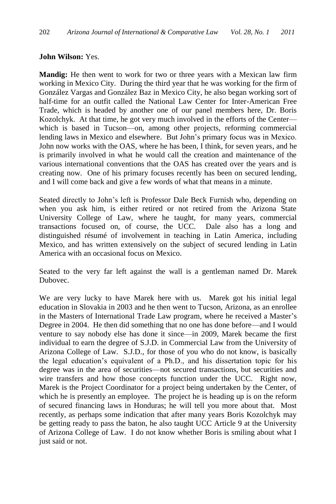### **John Wilson:** Yes.

**Mandig:** He then went to work for two or three years with a Mexican law firm working in Mexico City. During the third year that he was working for the firm of González Vargas and González Baz in Mexico City, he also began working sort of half-time for an outfit called the National Law Center for Inter-American Free Trade, which is headed by another one of our panel members here, Dr. Boris Kozolchyk. At that time, he got very much involved in the efforts of the Center which is based in Tucson—on, among other projects, reforming commercial lending laws in Mexico and elsewhere. But John's primary focus was in Mexico. John now works with the OAS, where he has been, I think, for seven years, and he is primarily involved in what he would call the creation and maintenance of the various international conventions that the OAS has created over the years and is creating now. One of his primary focuses recently has been on secured lending, and I will come back and give a few words of what that means in a minute.

Seated directly to John's left is Professor Dale Beck Furnish who, depending on when you ask him, is either retired or not retired from the Arizona State University College of Law, where he taught, for many years, commercial transactions focused on, of course, the UCC. Dale also has a long and distinguished résumé of involvement in teaching in Latin America, including Mexico, and has written extensively on the subject of secured lending in Latin America with an occasional focus on Mexico.

Seated to the very far left against the wall is a gentleman named Dr. Marek Dubovec.

We are very lucky to have Marek here with us. Marek got his initial legal education in Slovakia in 2003 and he then went to Tucson, Arizona, as an enrollee in the Masters of International Trade Law program, where he received a Master's Degree in 2004. He then did something that no one has done before—and I would venture to say nobody else has done it since—in 2009, Marek became the first individual to earn the degree of S.J.D. in Commercial Law from the University of Arizona College of Law. S.J.D., for those of you who do not know, is basically the legal education's equivalent of a Ph.D., and his dissertation topic for his degree was in the area of securities—not secured transactions, but securities and wire transfers and how those concepts function under the UCC. Right now, Marek is the Project Coordinator for a project being undertaken by the Center, of which he is presently an employee. The project he is heading up is on the reform of secured financing laws in Honduras; he will tell you more about that. Most recently, as perhaps some indication that after many years Boris Kozolchyk may be getting ready to pass the baton, he also taught UCC Article 9 at the University of Arizona College of Law. I do not know whether Boris is smiling about what I just said or not.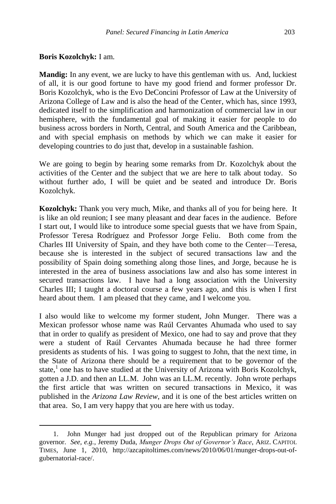### **Boris Kozolchyk:** I am.

 $\overline{a}$ 

**Mandig:** In any event, we are lucky to have this gentleman with us. And, luckiest of all, it is our good fortune to have my good friend and former professor Dr. Boris Kozolchyk, who is the Evo DeConcini Professor of Law at the University of Arizona College of Law and is also the head of the Center, which has, since 1993, dedicated itself to the simplification and harmonization of commercial law in our hemisphere, with the fundamental goal of making it easier for people to do business across borders in North, Central, and South America and the Caribbean, and with special emphasis on methods by which we can make it easier for developing countries to do just that, develop in a sustainable fashion.

We are going to begin by hearing some remarks from Dr. Kozolchyk about the activities of the Center and the subject that we are here to talk about today. So without further ado, I will be quiet and be seated and introduce Dr. Boris Kozolchyk.

**Kozolchyk:** Thank you very much, Mike, and thanks all of you for being here. It is like an old reunion; I see many pleasant and dear faces in the audience. Before I start out, I would like to introduce some special guests that we have from Spain, Professor Teresa Rodríguez and Professor Jorge Feliu. Both come from the Charles III University of Spain, and they have both come to the Center—Teresa, because she is interested in the subject of secured transactions law and the possibility of Spain doing something along those lines, and Jorge, because he is interested in the area of business associations law and also has some interest in secured transactions law. I have had a long association with the University Charles III; I taught a doctoral course a few years ago, and this is when I first heard about them. I am pleased that they came, and I welcome you.

I also would like to welcome my former student, John Munger. There was a Mexican professor whose name was Raúl Cervantes Ahumada who used to say that in order to qualify as president of Mexico, one had to say and prove that they were a student of Raúl Cervantes Ahumada because he had three former presidents as students of his. I was going to suggest to John, that the next time, in the State of Arizona there should be a requirement that to be governor of the state,<sup>1</sup> one has to have studied at the University of Arizona with Boris Kozolchyk, gotten a J.D. and then an LL.M. John was an LL.M. recently. John wrote perhaps the first article that was written on secured transactions in Mexico, it was published in the *Arizona Law Review*, and it is one of the best articles written on that area. So, I am very happy that you are here with us today.

<sup>1.</sup> John Munger had just dropped out of the Republican primary for Arizona governor. *See, e.g.*, Jeremy Duda, *Munger Drops Out of Governor's Race*, ARIZ. CAPITOL TIMES, June 1, 2010, http://azcapitoltimes.com/news/2010/06/01/munger-drops-out-ofgubernatorial-race/.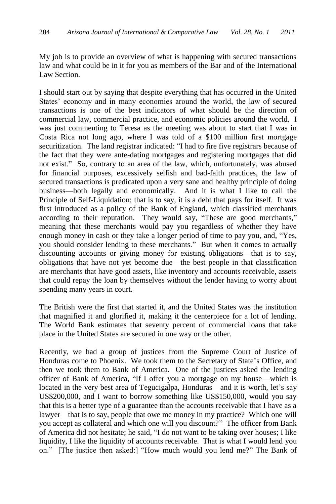My job is to provide an overview of what is happening with secured transactions law and what could be in it for you as members of the Bar and of the International Law Section.

I should start out by saying that despite everything that has occurred in the United States' economy and in many economies around the world, the law of secured transactions is one of the best indicators of what should be the direction of commercial law, commercial practice, and economic policies around the world. I was just commenting to Teresa as the meeting was about to start that I was in Costa Rica not long ago, where I was told of a \$100 million first mortgage securitization. The land registrar indicated: "I had to fire five registrars because of the fact that they were ante-dating mortgages and registering mortgages that did not exist." So, contrary to an area of the law, which, unfortunately, was abused for financial purposes, excessively selfish and bad-faith practices, the law of secured transactions is predicated upon a very sane and healthy principle of doing business—both legally and economically. And it is what I like to call the Principle of Self-Liquidation; that is to say, it is a debt that pays for itself. It was first introduced as a policy of the Bank of England, which classified merchants according to their reputation. They would say, "These are good merchants," meaning that these merchants would pay you regardless of whether they have enough money in cash or they take a longer period of time to pay you, and, "Yes, you should consider lending to these merchants." But when it comes to actually discounting accounts or giving money for existing obligations—that is to say, obligations that have not yet become due—the best people in that classification are merchants that have good assets, like inventory and accounts receivable, assets that could repay the loan by themselves without the lender having to worry about spending many years in court.

The British were the first that started it, and the United States was the institution that magnified it and glorified it, making it the centerpiece for a lot of lending. The World Bank estimates that seventy percent of commercial loans that take place in the United States are secured in one way or the other.

Recently, we had a group of justices from the Supreme Court of Justice of Honduras come to Phoenix. We took them to the Secretary of State's Office, and then we took them to Bank of America. One of the justices asked the lending officer of Bank of America, "If I offer you a mortgage on my house—which is located in the very best area of Tegucigalpa, Honduras—and it is worth, let's say US\$200,000, and I want to borrow something like US\$150,000, would you say that this is a better type of a guarantee than the accounts receivable that I have as a lawyer—that is to say, people that owe me money in my practice? Which one will you accept as collateral and which one will you discount?" The officer from Bank of America did not hesitate; he said, "I do not want to be taking over houses; I like liquidity, I like the liquidity of accounts receivable. That is what I would lend you on." [The justice then asked:] "How much would you lend me?" The Bank of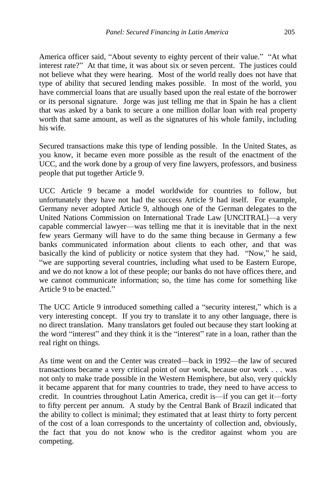America officer said, "About seventy to eighty percent of their value." "At what interest rate?" At that time, it was about six or seven percent. The justices could not believe what they were hearing. Most of the world really does not have that type of ability that secured lending makes possible. In most of the world, you have commercial loans that are usually based upon the real estate of the borrower or its personal signature. Jorge was just telling me that in Spain he has a client that was asked by a bank to secure a one million dollar loan with real property worth that same amount, as well as the signatures of his whole family, including his wife.

Secured transactions make this type of lending possible. In the United States, as you know, it became even more possible as the result of the enactment of the UCC, and the work done by a group of very fine lawyers, professors, and business people that put together Article 9.

UCC Article 9 became a model worldwide for countries to follow, but unfortunately they have not had the success Article 9 had itself. For example, Germany never adopted Article 9, although one of the German delegates to the United Nations Commission on International Trade Law [UNCITRAL]—a very capable commercial lawyer—was telling me that it is inevitable that in the next few years Germany will have to do the same thing because in Germany a few banks communicated information about clients to each other, and that was basically the kind of publicity or notice system that they had. "Now," he said, "we are supporting several countries, including what used to be Eastern Europe, and we do not know a lot of these people; our banks do not have offices there, and we cannot communicate information; so, the time has come for something like Article 9 to be enacted."

The UCC Article 9 introduced something called a "security interest," which is a very interesting concept. If you try to translate it to any other language, there is no direct translation. Many translators get fouled out because they start looking at the word "interest" and they think it is the "interest" rate in a loan, rather than the real right on things.

As time went on and the Center was created—back in 1992—the law of secured transactions became a very critical point of our work, because our work . . . was not only to make trade possible in the Western Hemisphere, but also, very quickly it became apparent that for many countries to trade, they need to have access to credit. In countries throughout Latin America, credit is—if you can get it—forty to fifty percent per annum. A study by the Central Bank of Brazil indicated that the ability to collect is minimal; they estimated that at least thirty to forty percent of the cost of a loan corresponds to the uncertainty of collection and, obviously, the fact that you do not know who is the creditor against whom you are competing.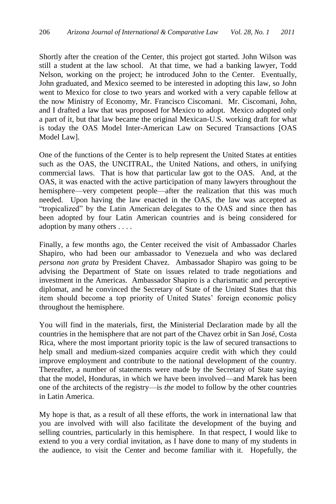Shortly after the creation of the Center, this project got started. John Wilson was still a student at the law school. At that time, we had a banking lawyer, Todd Nelson, working on the project; he introduced John to the Center. Eventually, John graduated, and Mexico seemed to be interested in adopting this law, so John went to Mexico for close to two years and worked with a very capable fellow at the now Ministry of Economy, Mr. Francisco Ciscomani. Mr. Ciscomani, John, and I drafted a law that was proposed for Mexico to adopt. Mexico adopted only a part of it, but that law became the original Mexican-U.S. working draft for what is today the OAS Model Inter-American Law on Secured Transactions [OAS Model Law].

One of the functions of the Center is to help represent the United States at entities such as the OAS, the UNCITRAL, the United Nations, and others, in unifying commercial laws. That is how that particular law got to the OAS. And, at the OAS, it was enacted with the active participation of many lawyers throughout the hemisphere—very competent people—after the realization that this was much needed. Upon having the law enacted in the OAS, the law was accepted as "tropicalized" by the Latin American delegates to the OAS and since then has been adopted by four Latin American countries and is being considered for adoption by many others . . . .

Finally, a few months ago, the Center received the visit of Ambassador Charles Shapiro, who had been our ambassador to Venezuela and who was declared *persona non grata* by President Chavez. Ambassador Shapiro was going to be advising the Department of State on issues related to trade negotiations and investment in the Americas. Ambassador Shapiro is a charismatic and perceptive diplomat, and he convinced the Secretary of State of the United States that this item should become a top priority of United States' foreign economic policy throughout the hemisphere.

You will find in the materials, first, the Ministerial Declaration made by all the countries in the hemisphere that are not part of the Chavez orbit in San José, Costa Rica, where the most important priority topic is the law of secured transactions to help small and medium-sized companies acquire credit with which they could improve employment and contribute to the national development of the country. Thereafter, a number of statements were made by the Secretary of State saying that the model, Honduras, in which we have been involved—and Marek has been one of the architects of the registry—is *the* model to follow by the other countries in Latin America.

My hope is that, as a result of all these efforts, the work in international law that you are involved with will also facilitate the development of the buying and selling countries, particularly in this hemisphere. In that respect, I would like to extend to you a very cordial invitation, as I have done to many of my students in the audience, to visit the Center and become familiar with it. Hopefully, the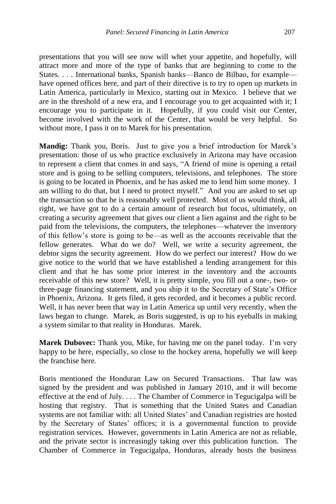presentations that you will see now will whet your appetite, and hopefully, will attract more and more of the type of banks that are beginning to come to the States. . . . International banks, Spanish banks—Banco de Bilbao, for example have opened offices here, and part of their directive is to try to open up markets in Latin America, particularly in Mexico, starting out in Mexico. I believe that we are in the threshold of a new era, and I encourage you to get acquainted with it; I encourage you to participate in it. Hopefully, if you could visit our Center, become involved with the work of the Center, that would be very helpful. So without more, I pass it on to Marek for his presentation.

**Mandig:** Thank you, Boris. Just to give you a brief introduction for Marek's presentation: those of us who practice exclusively in Arizona may have occasion to represent a client that comes in and says, "A friend of mine is opening a retail store and is going to be selling computers, televisions, and telephones. The store is going to be located in Phoenix, and he has asked me to lend him some money. I am willing to do that, but I need to protect myself." And you are asked to set up the transaction so that he is reasonably well protected. Most of us would think, all right, we have got to do a certain amount of research but focus, ultimately, on creating a security agreement that gives our client a lien against and the right to be paid from the televisions, the computers, the telephones—whatever the inventory of this fellow's store is going to be—as well as the accounts receivable that the fellow generates. What do we do? Well, we write a security agreement, the debtor signs the security agreement. How do we perfect our interest? How do we give notice to the world that we have established a lending arrangement for this client and that he has some prior interest in the inventory and the accounts receivable of this new store? Well, it is pretty simple, you fill out a one-, two- or three-page financing statement, and you ship it to the Secretary of State's Office in Phoenix, Arizona. It gets filed, it gets recorded, and it becomes a public record. Well, it has never been that way in Latin America up until very recently, when the laws began to change. Marek, as Boris suggested, is up to his eyeballs in making a system similar to that reality in Honduras. Marek.

**Marek Dubovec:** Thank you, Mike, for having me on the panel today. I'm very happy to be here, especially, so close to the hockey arena, hopefully we will keep the franchise here.

Boris mentioned the Honduran Law on Secured Transactions. That law was signed by the president and was published in January 2010, and it will become effective at the end of July. . . . The Chamber of Commerce in Tegucigalpa will be hosting that registry. That is something that the United States and Canadian systems are not familiar with: all United States' and Canadian registries are hosted by the Secretary of States' offices; it is a governmental function to provide registration services. However, governments in Latin America are not as reliable, and the private sector is increasingly taking over this publication function. The Chamber of Commerce in Tegucigalpa, Honduras, already hosts the business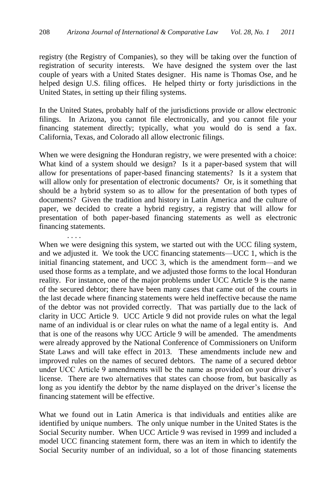registry (the Registry of Companies), so they will be taking over the function of registration of security interests. We have designed the system over the last couple of years with a United States designer. His name is Thomas Ose, and he helped design U.S. filing offices. He helped thirty or forty jurisdictions in the United States, in setting up their filing systems.

In the United States, probably half of the jurisdictions provide or allow electronic filings. In Arizona, you cannot file electronically, and you cannot file your financing statement directly; typically, what you would do is send a fax. California, Texas, and Colorado all allow electronic filings.

When we were designing the Honduran registry, we were presented with a choice: What kind of a system should we design? Is it a paper-based system that will allow for presentations of paper-based financing statements? Is it a system that will allow only for presentation of electronic documents? Or, is it something that should be a hybrid system so as to allow for the presentation of both types of documents? Given the tradition and history in Latin America and the culture of paper, we decided to create a hybrid registry, a registry that will allow for presentation of both paper-based financing statements as well as electronic financing statements.

When we were designing this system, we started out with the UCC filing system, and we adjusted it. We took the UCC financing statements—UCC 1, which is the initial financing statement, and UCC 3, which is the amendment form—and we used those forms as a template, and we adjusted those forms to the local Honduran reality. For instance, one of the major problems under UCC Article 9 is the name of the secured debtor; there have been many cases that came out of the courts in the last decade where financing statements were held ineffective because the name of the debtor was not provided correctly. That was partially due to the lack of clarity in UCC Article 9. UCC Article 9 did not provide rules on what the legal name of an individual is or clear rules on what the name of a legal entity is. And that is one of the reasons why UCC Article 9 will be amended. The amendments were already approved by the National Conference of Commissioners on Uniform State Laws and will take effect in 2013. These amendments include new and improved rules on the names of secured debtors. The name of a secured debtor under UCC Article 9 amendments will be the name as provided on your driver's license. There are two alternatives that states can choose from, but basically as long as you identify the debtor by the name displayed on the driver's license the financing statement will be effective.

What we found out in Latin America is that individuals and entities alike are identified by unique numbers. The only unique number in the United States is the Social Security number. When UCC Article 9 was revised in 1999 and included a model UCC financing statement form, there was an item in which to identify the Social Security number of an individual, so a lot of those financing statements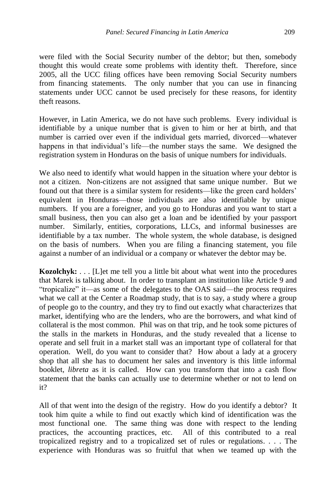were filed with the Social Security number of the debtor; but then, somebody thought this would create some problems with identity theft. Therefore, since 2005, all the UCC filing offices have been removing Social Security numbers from financing statements. The only number that you can use in financing statements under UCC cannot be used precisely for these reasons, for identity theft reasons.

However, in Latin America, we do not have such problems. Every individual is identifiable by a unique number that is given to him or her at birth, and that number is carried over even if the individual gets married, divorced—whatever happens in that individual's life—the number stays the same. We designed the registration system in Honduras on the basis of unique numbers for individuals.

We also need to identify what would happen in the situation where your debtor is not a citizen. Non-citizens are not assigned that same unique number. But we found out that there is a similar system for residents—like the green card holders' equivalent in Honduras—those individuals are also identifiable by unique numbers. If you are a foreigner, and you go to Honduras and you want to start a small business, then you can also get a loan and be identified by your passport number. Similarly, entities, corporations, LLCs, and informal businesses are identifiable by a tax number. The whole system, the whole database, is designed on the basis of numbers. When you are filing a financing statement, you file against a number of an individual or a company or whatever the debtor may be.

**Kozolchyk:** . . . [L]et me tell you a little bit about what went into the procedures that Marek is talking about. In order to transplant an institution like Article 9 and "tropicalize" it—as some of the delegates to the OAS said—the process requires what we call at the Center a Roadmap study, that is to say, a study where a group of people go to the country, and they try to find out exactly what characterizes that market, identifying who are the lenders, who are the borrowers, and what kind of collateral is the most common. Phil was on that trip, and he took some pictures of the stalls in the markets in Honduras, and the study revealed that a license to operate and sell fruit in a market stall was an important type of collateral for that operation. Well, do you want to consider that? How about a lady at a grocery shop that all she has to document her sales and inventory is this little informal booklet, *libreta* as it is called. How can you transform that into a cash flow statement that the banks can actually use to determine whether or not to lend on it?

All of that went into the design of the registry. How do you identify a debtor? It took him quite a while to find out exactly which kind of identification was the most functional one. The same thing was done with respect to the lending practices, the accounting practices, etc. All of this contributed to a real tropicalized registry and to a tropicalized set of rules or regulations. . . . The experience with Honduras was so fruitful that when we teamed up with the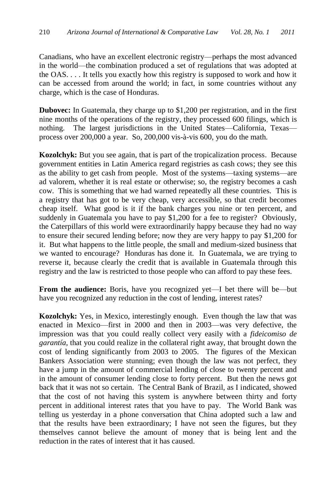Canadians, who have an excellent electronic registry—perhaps the most advanced in the world—the combination produced a set of regulations that was adopted at the OAS. . . . It tells you exactly how this registry is supposed to work and how it can be accessed from around the world; in fact, in some countries without any charge, which is the case of Honduras.

**Dubovec:** In Guatemala, they charge up to \$1,200 per registration, and in the first nine months of the operations of the registry, they processed 600 filings, which is nothing. The largest jurisdictions in the United States—California, Texas process over 200,000 a year. So, 200,000 vis-à-vis 600, you do the math.

**Kozolchyk:** But you see again, that is part of the tropicalization process. Because government entities in Latin America regard registries as cash cows; they see this as the ability to get cash from people. Most of the systems—taxing systems—are ad valorem, whether it is real estate or otherwise; so, the registry becomes a cash cow. This is something that we had warned repeatedly all these countries. This is a registry that has got to be very cheap, very accessible, so that credit becomes cheap itself. What good is it if the bank charges you nine or ten percent, and suddenly in Guatemala you have to pay \$1,200 for a fee to register? Obviously, the Caterpillars of this world were extraordinarily happy because they had no way to ensure their secured lending before; now they are very happy to pay \$1,200 for it. But what happens to the little people, the small and medium-sized business that we wanted to encourage? Honduras has done it. In Guatemala, we are trying to reverse it, because clearly the credit that is available in Guatemala through this registry and the law is restricted to those people who can afford to pay these fees.

**From the audience:** Boris, have you recognized yet—I bet there will be—but have you recognized any reduction in the cost of lending, interest rates?

**Kozolchyk:** Yes, in Mexico, interestingly enough. Even though the law that was enacted in Mexico—first in 2000 and then in 2003—was very defective, the impression was that you could really collect very easily with a *fideicomiso de garantía*, that you could realize in the collateral right away, that brought down the cost of lending significantly from 2003 to 2005. The figures of the Mexican Bankers Association were stunning; even though the law was not perfect, they have a jump in the amount of commercial lending of close to twenty percent and in the amount of consumer lending close to forty percent. But then the news got back that it was not so certain. The Central Bank of Brazil, as I indicated, showed that the cost of not having this system is anywhere between thirty and forty percent in additional interest rates that you have to pay. The World Bank was telling us yesterday in a phone conversation that China adopted such a law and that the results have been extraordinary; I have not seen the figures, but they themselves cannot believe the amount of money that is being lent and the reduction in the rates of interest that it has caused.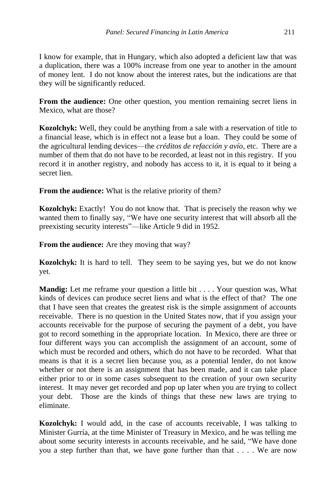I know for example, that in Hungary, which also adopted a deficient law that was a duplication, there was a 100% increase from one year to another in the amount of money lent. I do not know about the interest rates, but the indications are that they will be significantly reduced.

**From the audience:** One other question, you mention remaining secret liens in Mexico, what are those?

**Kozolchyk:** Well, they could be anything from a sale with a reservation of title to a financial lease, which is in effect not a lease but a loan. They could be some of the agricultural lending devices—the *créditos de refacción y avío*, etc. There are a number of them that do not have to be recorded, at least not in this registry. If you record it in another registry, and nobody has access to it, it is equal to it being a secret lien.

**From the audience:** What is the relative priority of them?

**Kozolchyk:** Exactly! You do not know that. That is precisely the reason why we wanted them to finally say, "We have one security interest that will absorb all the preexisting security interests"—like Article 9 did in 1952.

**From the audience:** Are they moving that way?

**Kozolchyk:** It is hard to tell. They seem to be saying yes, but we do not know yet.

**Mandig:** Let me reframe your question a little bit . . . . Your question was, What kinds of devices can produce secret liens and what is the effect of that? The one that I have seen that creates the greatest risk is the simple assignment of accounts receivable. There is no question in the United States now, that if you assign your accounts receivable for the purpose of securing the payment of a debt, you have got to record something in the appropriate location. In Mexico, there are three or four different ways you can accomplish the assignment of an account, some of which must be recorded and others, which do not have to be recorded. What that means is that it is a secret lien because you, as a potential lender, do not know whether or not there is an assignment that has been made, and it can take place either prior to or in some cases subsequent to the creation of your own security interest. It may never get recorded and pop up later when you are trying to collect your debt. Those are the kinds of things that these new laws are trying to eliminate.

**Kozolchyk:** I would add, in the case of accounts receivable, I was talking to Minister Gurría, at the time Minister of Treasury in Mexico, and he was telling me about some security interests in accounts receivable, and he said, "We have done you a step further than that, we have gone further than that . . . . We are now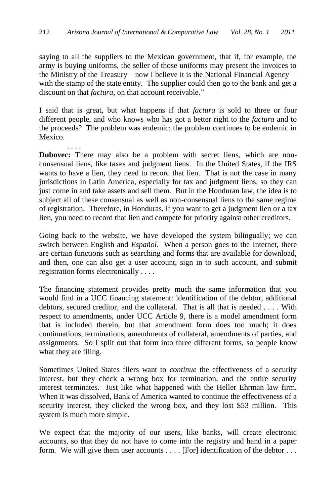saying to all the suppliers to the Mexican government, that if, for example, the army is buying uniforms, the seller of those uniforms may present the invoices to the Ministry of the Treasury—now I believe it is the National Financial Agency with the stamp of the state entity. The supplier could then go to the bank and get a discount on that *factura*, on that account receivable."

I said that is great, but what happens if that *factura* is sold to three or four different people, and who knows who has got a better right to the *factura* and to the proceeds? The problem was endemic; the problem continues to be endemic in Mexico.

. . . . **Dubovec:** There may also be a problem with secret liens, which are nonconsensual liens, like taxes and judgment liens. In the United States, if the IRS wants to have a lien, they need to record that lien. That is not the case in many jurisdictions in Latin America, especially for tax and judgment liens, so they can just come in and take assets and sell them. But in the Honduran law, the idea is to subject all of these consensual as well as non-consensual liens to the same regime of registration. Therefore, in Honduras, if you want to get a judgment lien or a tax lien, you need to record that lien and compete for priority against other creditors.

Going back to the website, we have developed the system bilingually; we can switch between English and *Español*. When a person goes to the Internet, there are certain functions such as searching and forms that are available for download, and then, one can also get a user account, sign in to such account, and submit registration forms electronically . . . .

The financing statement provides pretty much the same information that you would find in a UCC financing statement: identification of the debtor, additional debtors, secured creditor, and the collateral. That is all that is needed . . . . With respect to amendments, under UCC Article 9, there is a model amendment form that is included therein, but that amendment form does too much; it does continuations, terminations, amendments of collateral, amendments of parties, and assignments. So I split out that form into three different forms, so people know what they are filing.

Sometimes United States filers want to *continue* the effectiveness of a security interest, but they check a wrong box for termination, and the entire security interest terminates. Just like what happened with the Heller Ehrman law firm. When it was dissolved, Bank of America wanted to continue the effectiveness of a security interest, they clicked the wrong box, and they lost \$53 million. This system is much more simple.

We expect that the majority of our users, like banks, will create electronic accounts, so that they do not have to come into the registry and hand in a paper form. We will give them user accounts . . . . [For] identification of the debtor . . .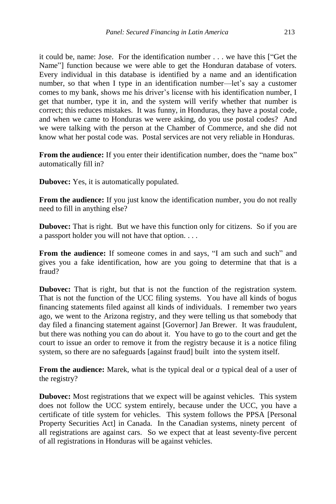it could be, name: Jose. For the identification number . . . we have this ["Get the Name"] function because we were able to get the Honduran database of voters. Every individual in this database is identified by a name and an identification number, so that when I type in an identification number—let's say a customer comes to my bank, shows me his driver's license with his identification number, I get that number, type it in, and the system will verify whether that number is correct; this reduces mistakes. It was funny, in Honduras, they have a postal code, and when we came to Honduras we were asking, do you use postal codes? And we were talking with the person at the Chamber of Commerce, and she did not know what her postal code was. Postal services are not very reliable in Honduras.

From the audience: If you enter their identification number, does the "name box" automatically fill in?

**Dubovec:** Yes, it is automatically populated.

**From the audience:** If you just know the identification number, you do not really need to fill in anything else?

**Dubovec:** That is right. But we have this function only for citizens. So if you are a passport holder you will not have that option. . . .

**From the audience:** If someone comes in and says, "I am such and such" and gives you a fake identification, how are you going to determine that that is a fraud?

**Dubovec:** That is right, but that is not the function of the registration system. That is not the function of the UCC filing systems. You have all kinds of bogus financing statements filed against all kinds of individuals. I remember two years ago, we went to the Arizona registry, and they were telling us that somebody that day filed a financing statement against [Governor] Jan Brewer. It was fraudulent, but there was nothing you can do about it. You have to go to the court and get the court to issue an order to remove it from the registry because it is a notice filing system, so there are no safeguards [against fraud] built into the system itself.

**From the audience:** Marek, what is the typical deal or *a* typical deal of a user of the registry?

**Dubovec:** Most registrations that we expect will be against vehicles. This system does not follow the UCC system entirely, because under the UCC, you have a certificate of title system for vehicles. This system follows the PPSA [Personal Property Securities Act] in Canada. In the Canadian systems, ninety percent of all registrations are against cars. So we expect that at least seventy-five percent of all registrations in Honduras will be against vehicles.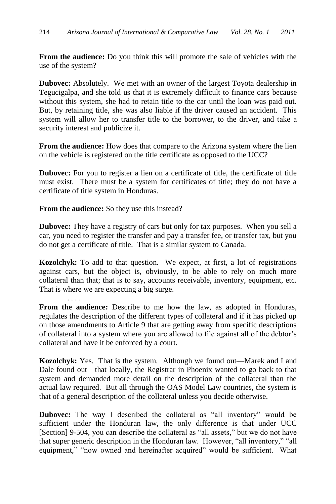**From the audience:** Do you think this will promote the sale of vehicles with the use of the system?

**Dubovec:** Absolutely. We met with an owner of the largest Toyota dealership in Tegucigalpa, and she told us that it is extremely difficult to finance cars because without this system, she had to retain title to the car until the loan was paid out. But, by retaining title, she was also liable if the driver caused an accident. This system will allow her to transfer title to the borrower, to the driver, and take a security interest and publicize it.

**From the audience:** How does that compare to the Arizona system where the lien on the vehicle is registered on the title certificate as opposed to the UCC?

**Dubovec:** For you to register a lien on a certificate of title, the certificate of title must exist. There must be a system for certificates of title; they do not have a certificate of title system in Honduras.

**From the audience:** So they use this instead?

. . . .

**Dubovec:** They have a registry of cars but only for tax purposes. When you sell a car, you need to register the transfer and pay a transfer fee, or transfer tax, but you do not get a certificate of title. That is a similar system to Canada.

**Kozolchyk:** To add to that question. We expect, at first, a lot of registrations against cars, but the object is, obviously, to be able to rely on much more collateral than that; that is to say, accounts receivable, inventory, equipment, etc. That is where we are expecting a big surge.

**From the audience:** Describe to me how the law, as adopted in Honduras, regulates the description of the different types of collateral and if it has picked up on those amendments to Article 9 that are getting away from specific descriptions of collateral into a system where you are allowed to file against all of the debtor's collateral and have it be enforced by a court.

**Kozolchyk:** Yes. That is the system. Although we found out—Marek and I and Dale found out—that locally, the Registrar in Phoenix wanted to go back to that system and demanded more detail on the description of the collateral than the actual law required. But all through the OAS Model Law countries, the system is that of a general description of the collateral unless you decide otherwise.

**Dubovec:** The way I described the collateral as "all inventory" would be sufficient under the Honduran law, the only difference is that under UCC [Section] 9-504, you can describe the collateral as "all assets," but we do not have that super generic description in the Honduran law. However, "all inventory," "all equipment," "now owned and hereinafter acquired" would be sufficient. What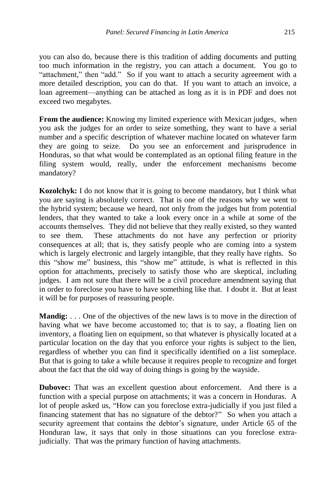you can also do, because there is this tradition of adding documents and putting too much information in the registry, you can attach a document. You go to "attachment," then "add." So if you want to attach a security agreement with a more detailed description, you can do that. If you want to attach an invoice, a loan agreement—anything can be attached as long as it is in PDF and does not exceed two megabytes.

**From the audience:** Knowing my limited experience with Mexican judges, when you ask the judges for an order to seize something, they want to have a serial number and a specific description of whatever machine located on whatever farm they are going to seize. Do you see an enforcement and jurisprudence in Honduras, so that what would be contemplated as an optional filing feature in the filing system would, really, under the enforcement mechanisms become mandatory?

**Kozolchyk:** I do not know that it is going to become mandatory, but I think what you are saying is absolutely correct. That is one of the reasons why we went to the hybrid system; because we heard, not only from the judges but from potential lenders, that they wanted to take a look every once in a while at some of the accounts themselves. They did not believe that they really existed, so they wanted to see them. These attachments do not have any perfection or priority consequences at all; that is, they satisfy people who are coming into a system which is largely electronic and largely intangible, that they really have rights. So this "show me" business, this "show me" attitude, is what is reflected in this option for attachments, precisely to satisfy those who are skeptical, including judges. I am not sure that there will be a civil procedure amendment saying that in order to foreclose you have to have something like that. I doubt it. But at least it will be for purposes of reassuring people.

**Mandig:** . . . One of the objectives of the new laws is to move in the direction of having what we have become accustomed to; that is to say, a floating lien on inventory, a floating lien on equipment, so that whatever is physically located at a particular location on the day that you enforce your rights is subject to the lien, regardless of whether you can find it specifically identified on a list someplace. But that is going to take a while because it requires people to recognize and forget about the fact that the old way of doing things is going by the wayside.

**Dubovec:** That was an excellent question about enforcement. And there is a function with a special purpose on attachments; it was a concern in Honduras. A lot of people asked us, "How can you foreclose extra-judicially if you just filed a financing statement that has no signature of the debtor?" So when you attach a security agreement that contains the debtor's signature, under Article 65 of the Honduran law, it says that only in those situations can you foreclose extrajudicially. That was the primary function of having attachments.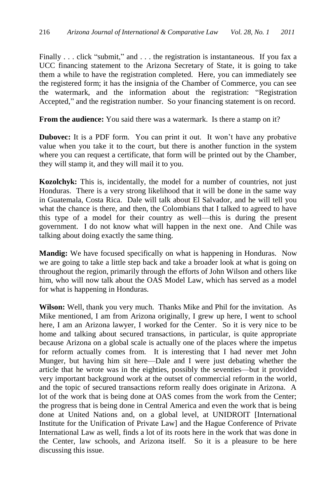Finally ... click "submit," and ... the registration is instantaneous. If you fax a UCC financing statement to the Arizona Secretary of State, it is going to take them a while to have the registration completed. Here, you can immediately see the registered form; it has the insignia of the Chamber of Commerce, you can see the watermark, and the information about the registration: "Registration Accepted," and the registration number. So your financing statement is on record.

**From the audience:** You said there was a watermark. Is there a stamp on it?

**Dubovec:** It is a PDF form. You can print it out. It won't have any probative value when you take it to the court, but there is another function in the system where you can request a certificate, that form will be printed out by the Chamber, they will stamp it, and they will mail it to you.

**Kozolchyk:** This is, incidentally, the model for a number of countries, not just Honduras. There is a very strong likelihood that it will be done in the same way in Guatemala, Costa Rica. Dale will talk about El Salvador, and he will tell you what the chance is there, and then, the Colombians that I talked to agreed to have this type of a model for their country as well—this is during the present government. I do not know what will happen in the next one. And Chile was talking about doing exactly the same thing.

**Mandig:** We have focused specifically on what is happening in Honduras. Now we are going to take a little step back and take a broader look at what is going on throughout the region, primarily through the efforts of John Wilson and others like him, who will now talk about the OAS Model Law, which has served as a model for what is happening in Honduras.

**Wilson:** Well, thank you very much. Thanks Mike and Phil for the invitation. As Mike mentioned, I am from Arizona originally, I grew up here, I went to school here, I am an Arizona lawyer, I worked for the Center. So it is very nice to be home and talking about secured transactions, in particular, is quite appropriate because Arizona on a global scale is actually one of the places where the impetus for reform actually comes from. It is interesting that I had never met John Munger, but having him sit here—Dale and I were just debating whether the article that he wrote was in the eighties, possibly the seventies—but it provided very important background work at the outset of commercial reform in the world, and the topic of secured transactions reform really does originate in Arizona. A lot of the work that is being done at OAS comes from the work from the Center; the progress that is being done in Central America and even the work that is being done at United Nations and, on a global level, at UNIDROIT [International Institute for the Unification of Private Law] and the Hague Conference of Private International Law as well, finds a lot of its roots here in the work that was done in the Center, law schools, and Arizona itself. So it is a pleasure to be here discussing this issue.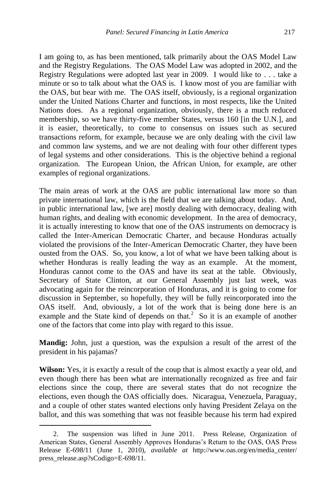I am going to, as has been mentioned, talk primarily about the OAS Model Law and the Registry Regulations. The OAS Model Law was adopted in 2002, and the Registry Regulations were adopted last year in 2009. I would like to . . . take a minute or so to talk about what the OAS is. I know most of you are familiar with the OAS, but bear with me. The OAS itself, obviously, is a regional organization under the United Nations Charter and functions, in most respects, like the United Nations does. As a regional organization, obviously, there is a much reduced membership, so we have thirty-five member States, versus 160 [in the U.N.], and it is easier, theoretically, to come to consensus on issues such as secured transactions reform, for example, because we are only dealing with the civil law and common law systems, and we are not dealing with four other different types of legal systems and other considerations. This is the objective behind a regional organization. The European Union, the African Union, for example, are other examples of regional organizations.

The main areas of work at the OAS are public international law more so than private international law, which is the field that we are talking about today. And, in public international law, [we are] mostly dealing with democracy, dealing with human rights, and dealing with economic development. In the area of democracy, it is actually interesting to know that one of the OAS instruments on democracy is called the Inter-American Democratic Charter, and because Honduras actually violated the provisions of the Inter-American Democratic Charter, they have been ousted from the OAS. So, you know, a lot of what we have been talking about is whether Honduras is really leading the way as an example. At the moment, Honduras cannot come to the OAS and have its seat at the table. Obviously, Secretary of State Clinton, at our General Assembly just last week, was advocating again for the reincorporation of Honduras, and it is going to come for discussion in September, so hopefully, they will be fully reincorporated into the OAS itself. And, obviously, a lot of the work that is being done here is an example and the State kind of depends on that.<sup>2</sup> So it is an example of another one of the factors that come into play with regard to this issue.

**Mandig:** John, just a question, was the expulsion a result of the arrest of the president in his pajamas?

**Wilson:** Yes, it is exactly a result of the coup that is almost exactly a year old, and even though there has been what are internationally recognized as free and fair elections since the coup, there are several states that do not recognize the elections, even though the OAS officially does. Nicaragua, Venezuela, Paraguay, and a couple of other states wanted elections only having President Zelaya on the ballot, and this was something that was not feasible because his term had expired

 $\overline{a}$ 

<sup>2.</sup> The suspension was lifted in June 2011. Press Release, Organization of American States, General Assembly Approves Honduras's Return to the OAS, OAS Press Release E-698/11 (June 1, 2010), *available at* http://www.oas.org/en/media\_center/ press\_release.asp?sCodigo=E-698/11.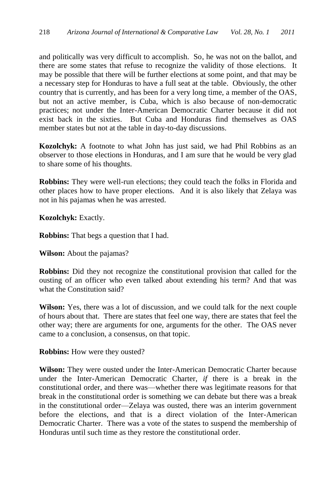and politically was very difficult to accomplish. So, he was not on the ballot, and there are some states that refuse to recognize the validity of those elections. It may be possible that there will be further elections at some point, and that may be a necessary step for Honduras to have a full seat at the table. Obviously, the other country that is currently, and has been for a very long time, a member of the OAS, but not an active member, is Cuba, which is also because of non-democratic practices; not under the Inter-American Democratic Charter because it did not exist back in the sixties. But Cuba and Honduras find themselves as OAS member states but not at the table in day-to-day discussions.

**Kozolchyk:** A footnote to what John has just said, we had Phil Robbins as an observer to those elections in Honduras, and I am sure that he would be very glad to share some of his thoughts.

**Robbins:** They were well-run elections; they could teach the folks in Florida and other places how to have proper elections. And it is also likely that Zelaya was not in his pajamas when he was arrested.

**Kozolchyk:** Exactly.

**Robbins:** That begs a question that I had.

**Wilson:** About the pajamas?

**Robbins:** Did they not recognize the constitutional provision that called for the ousting of an officer who even talked about extending his term? And that was what the Constitution said?

**Wilson:** Yes, there was a lot of discussion, and we could talk for the next couple of hours about that. There are states that feel one way, there are states that feel the other way; there are arguments for one, arguments for the other. The OAS never came to a conclusion, a consensus, on that topic.

**Robbins:** How were they ousted?

**Wilson:** They were ousted under the Inter-American Democratic Charter because under the Inter-American Democratic Charter, *if* there is a break in the constitutional order, and there was—whether there was legitimate reasons for that break in the constitutional order is something we can debate but there was a break in the constitutional order—Zelaya was ousted, there was an interim government before the elections, and that is a direct violation of the Inter-American Democratic Charter. There was a vote of the states to suspend the membership of Honduras until such time as they restore the constitutional order.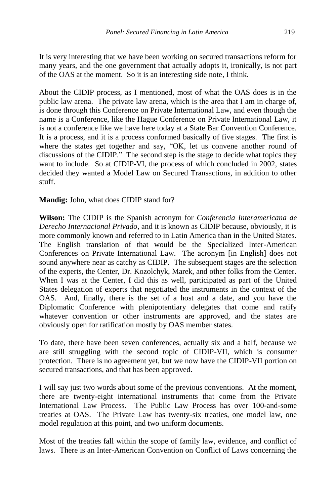It is very interesting that we have been working on secured transactions reform for many years, and the one government that actually adopts it, ironically, is not part of the OAS at the moment. So it is an interesting side note, I think.

About the CIDIP process, as I mentioned, most of what the OAS does is in the public law arena. The private law arena, which is the area that I am in charge of, is done through this Conference on Private International Law, and even though the name is a Conference, like the Hague Conference on Private International Law, it is not a conference like we have here today at a State Bar Convention Conference. It is a process, and it is a process conformed basically of five stages. The first is where the states get together and say, "OK, let us convene another round of discussions of the CIDIP." The second step is the stage to decide what topics they want to include. So at CIDIP-VI, the process of which concluded in 2002, states decided they wanted a Model Law on Secured Transactions, in addition to other stuff.

# **Mandig:** John, what does CIDIP stand for?

**Wilson:** The CIDIP is the Spanish acronym for *Conferencia Interamericana de Derecho Internacional Privado*, and it is known as CIDIP because, obviously, it is more commonly known and referred to in Latin America than in the United States. The English translation of that would be the Specialized Inter-American Conferences on Private International Law. The acronym [in English] does not sound anywhere near as catchy as CIDIP. The subsequent stages are the selection of the experts, the Center, Dr. Kozolchyk, Marek, and other folks from the Center. When I was at the Center, I did this as well, participated as part of the United States delegation of experts that negotiated the instruments in the context of the OAS. And, finally, there is the set of a host and a date, and you have the Diplomatic Conference with plenipotentiary delegates that come and ratify whatever convention or other instruments are approved, and the states are obviously open for ratification mostly by OAS member states.

To date, there have been seven conferences, actually six and a half, because we are still struggling with the second topic of CIDIP-VII, which is consumer protection. There is no agreement yet, but we now have the CIDIP-VII portion on secured transactions, and that has been approved.

I will say just two words about some of the previous conventions. At the moment, there are twenty-eight international instruments that come from the Private International Law Process. The Public Law Process has over 100-and-some treaties at OAS. The Private Law has twenty-six treaties, one model law, one model regulation at this point, and two uniform documents.

Most of the treaties fall within the scope of family law, evidence, and conflict of laws. There is an Inter-American Convention on Conflict of Laws concerning the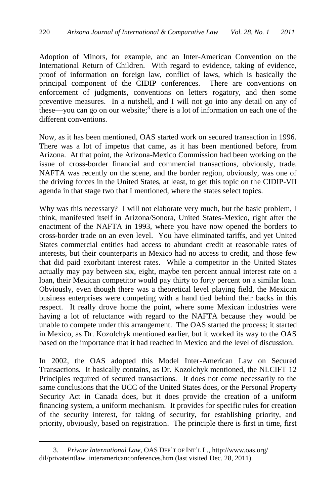Adoption of Minors, for example, and an Inter-American Convention on the International Return of Children. With regard to evidence, taking of evidence, proof of information on foreign law, conflict of laws, which is basically the principal component of the CIDIP conferences. There are conventions on enforcement of judgments, conventions on letters rogatory, and then some preventive measures. In a nutshell, and I will not go into any detail on any of these—you can go on our website; 3 there is a lot of information on each one of the different conventions.

Now, as it has been mentioned, OAS started work on secured transaction in 1996. There was a lot of impetus that came, as it has been mentioned before, from Arizona. At that point, the Arizona-Mexico Commission had been working on the issue of cross-border financial and commercial transactions, obviously, trade. NAFTA was recently on the scene, and the border region, obviously, was one of the driving forces in the United States, at least, to get this topic on the CIDIP-VII agenda in that stage two that I mentioned, where the states select topics.

Why was this necessary? I will not elaborate very much, but the basic problem, I think, manifested itself in Arizona/Sonora, United States-Mexico, right after the enactment of the NAFTA in 1993, where you have now opened the borders to cross-border trade on an even level. You have eliminated tariffs, and yet United States commercial entities had access to abundant credit at reasonable rates of interests, but their counterparts in Mexico had no access to credit, and those few that did paid exorbitant interest rates. While a competitor in the United States actually may pay between six, eight, maybe ten percent annual interest rate on a loan, their Mexican competitor would pay thirty to forty percent on a similar loan. Obviously, even though there was a theoretical level playing field, the Mexican business enterprises were competing with a hand tied behind their backs in this respect. It really drove home the point, where some Mexican industries were having a lot of reluctance with regard to the NAFTA because they would be unable to compete under this arrangement. The OAS started the process; it started in Mexico, as Dr. Kozolchyk mentioned earlier, but it worked its way to the OAS based on the importance that it had reached in Mexico and the level of discussion.

In 2002, the OAS adopted this Model Inter-American Law on Secured Transactions. It basically contains, as Dr. Kozolchyk mentioned, the NLCIFT 12 Principles required of secured transactions. It does not come necessarily to the same conclusions that the UCC of the United States does, or the Personal Property Security Act in Canada does, but it does provide the creation of a uniform financing system, a uniform mechanism. It provides for specific rules for creation of the security interest, for taking of security, for establishing priority, and priority, obviously, based on registration. The principle there is first in time, first

 $\overline{a}$ 

<sup>3.</sup> *Private International Law*, OAS DEP'T OF INT'L L., http://www.oas.org/ dil/privateintlaw\_interamericanconferences.htm (last visited Dec. 28, 2011).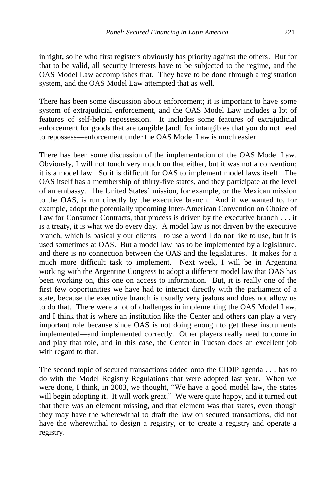in right, so he who first registers obviously has priority against the others. But for that to be valid, all security interests have to be subjected to the regime, and the OAS Model Law accomplishes that. They have to be done through a registration system, and the OAS Model Law attempted that as well.

There has been some discussion about enforcement; it is important to have some system of extrajudicial enforcement, and the OAS Model Law includes a lot of features of self-help repossession. It includes some features of extrajudicial enforcement for goods that are tangible [and] for intangibles that you do not need to repossess—enforcement under the OAS Model Law is much easier.

There has been some discussion of the implementation of the OAS Model Law. Obviously, I will not touch very much on that either, but it was not a convention; it is a model law. So it is difficult for OAS to implement model laws itself. The OAS itself has a membership of thirty-five states, and they participate at the level of an embassy. The United States' mission, for example, or the Mexican mission to the OAS, is run directly by the executive branch. And if we wanted to, for example, adopt the potentially upcoming Inter-American Convention on Choice of Law for Consumer Contracts, that process is driven by the executive branch . . . it is a treaty, it is what we do every day. A model law is not driven by the executive branch, which is basically our clients—to use a word I do not like to use, but it is used sometimes at OAS. But a model law has to be implemented by a legislature, and there is no connection between the OAS and the legislatures. It makes for a much more difficult task to implement. Next week, I will be in Argentina working with the Argentine Congress to adopt a different model law that OAS has been working on, this one on access to information. But, it is really one of the first few opportunities we have had to interact directly with the parliament of a state, because the executive branch is usually very jealous and does not allow us to do that. There were a lot of challenges in implementing the OAS Model Law, and I think that is where an institution like the Center and others can play a very important role because since OAS is not doing enough to get these instruments implemented—and implemented correctly. Other players really need to come in and play that role, and in this case, the Center in Tucson does an excellent job with regard to that.

The second topic of secured transactions added onto the CIDIP agenda . . . has to do with the Model Registry Regulations that were adopted last year. When we were done, I think, in 2003, we thought, "We have a good model law, the states will begin adopting it. It will work great." We were quite happy, and it turned out that there was an element missing, and that element was that states, even though they may have the wherewithal to draft the law on secured transactions, did not have the wherewithal to design a registry, or to create a registry and operate a registry.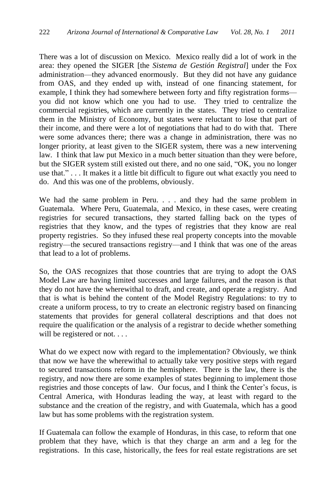There was a lot of discussion on Mexico. Mexico really did a lot of work in the area: they opened the SIGER [the *Sistema de Gestión Registral*] under the Fox administration—they advanced enormously. But they did not have any guidance from OAS, and they ended up with, instead of one financing statement, for example, I think they had somewhere between forty and fifty registration forms you did not know which one you had to use. They tried to centralize the commercial registries, which are currently in the states. They tried to centralize them in the Ministry of Economy, but states were reluctant to lose that part of their income, and there were a lot of negotiations that had to do with that. There were some advances there; there was a change in administration, there was no longer priority, at least given to the SIGER system, there was a new intervening law. I think that law put Mexico in a much better situation than they were before, but the SIGER system still existed out there, and no one said, "OK, you no longer use that." . . . It makes it a little bit difficult to figure out what exactly you need to do. And this was one of the problems, obviously.

We had the same problem in Peru. . . . and they had the same problem in Guatemala. Where Peru, Guatemala, and Mexico, in these cases, were creating registries for secured transactions, they started falling back on the types of registries that they know, and the types of registries that they know are real property registries. So they infused these real property concepts into the movable registry—the secured transactions registry—and I think that was one of the areas that lead to a lot of problems.

So, the OAS recognizes that those countries that are trying to adopt the OAS Model Law are having limited successes and large failures, and the reason is that they do not have the wherewithal to draft, and create, and operate a registry. And that is what is behind the content of the Model Registry Regulations: to try to create a uniform process, to try to create an electronic registry based on financing statements that provides for general collateral descriptions and that does not require the qualification or the analysis of a registrar to decide whether something will be registered or not. . . .

What do we expect now with regard to the implementation? Obviously, we think that now we have the wherewithal to actually take very positive steps with regard to secured transactions reform in the hemisphere. There is the law, there is the registry, and now there are some examples of states beginning to implement those registries and those concepts of law. Our focus, and I think the Center's focus, is Central America, with Honduras leading the way, at least with regard to the substance and the creation of the registry, and with Guatemala, which has a good law but has some problems with the registration system.

If Guatemala can follow the example of Honduras, in this case, to reform that one problem that they have, which is that they charge an arm and a leg for the registrations. In this case, historically, the fees for real estate registrations are set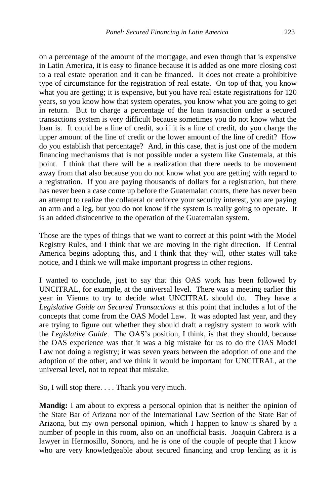on a percentage of the amount of the mortgage, and even though that is expensive in Latin America, it is easy to finance because it is added as one more closing cost to a real estate operation and it can be financed. It does not create a prohibitive type of circumstance for the registration of real estate. On top of that, you know what you are getting; it is expensive, but you have real estate registrations for 120 years, so you know how that system operates, you know what you are going to get in return. But to charge a percentage of the loan transaction under a secured transactions system is very difficult because sometimes you do not know what the loan is. It could be a line of credit, so if it is a line of credit, do you charge the upper amount of the line of credit or the lower amount of the line of credit? How do you establish that percentage? And, in this case, that is just one of the modern financing mechanisms that is not possible under a system like Guatemala, at this point. I think that there will be a realization that there needs to be movement away from that also because you do not know what you are getting with regard to a registration. If you are paying thousands of dollars for a registration, but there has never been a case come up before the Guatemalan courts, there has never been an attempt to realize the collateral or enforce your security interest, you are paying an arm and a leg, but you do not know if the system is really going to operate. It is an added disincentive to the operation of the Guatemalan system.

Those are the types of things that we want to correct at this point with the Model Registry Rules, and I think that we are moving in the right direction. If Central America begins adopting this, and I think that they will, other states will take notice, and I think we will make important progress in other regions.

I wanted to conclude, just to say that this OAS work has been followed by UNCITRAL, for example, at the universal level. There was a meeting earlier this year in Vienna to try to decide what UNCITRAL should do. They have a *Legislative Guide on Secured Transactions* at this point that includes a lot of the concepts that come from the OAS Model Law. It was adopted last year, and they are trying to figure out whether they should draft a registry system to work with the *Legislative Guide*. The OAS's position, I think, is that they should, because the OAS experience was that it was a big mistake for us to do the OAS Model Law not doing a registry; it was seven years between the adoption of one and the adoption of the other, and we think it would be important for UNCITRAL, at the universal level, not to repeat that mistake.

So, I will stop there. . . . Thank you very much.

**Mandig:** I am about to express a personal opinion that is neither the opinion of the State Bar of Arizona nor of the International Law Section of the State Bar of Arizona, but my own personal opinion, which I happen to know is shared by a number of people in this room, also on an unofficial basis. Joaquin Cabrera is a lawyer in Hermosillo, Sonora, and he is one of the couple of people that I know who are very knowledgeable about secured financing and crop lending as it is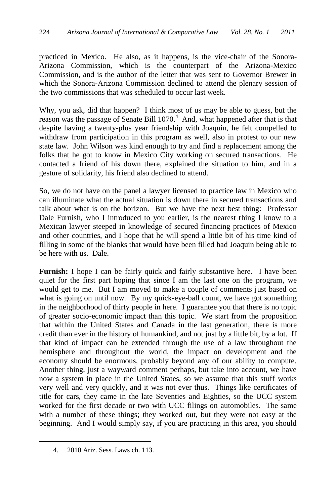practiced in Mexico. He also, as it happens, is the vice-chair of the Sonora-Arizona Commission, which is the counterpart of the Arizona-Mexico Commission, and is the author of the letter that was sent to Governor Brewer in which the Sonora-Arizona Commission declined to attend the plenary session of the two commissions that was scheduled to occur last week.

Why, you ask, did that happen? I think most of us may be able to guess, but the reason was the passage of Senate Bill  $1070<sup>4</sup>$  And, what happened after that is that despite having a twenty-plus year friendship with Joaquin, he felt compelled to withdraw from participation in this program as well, also in protest to our new state law. John Wilson was kind enough to try and find a replacement among the folks that he got to know in Mexico City working on secured transactions. He contacted a friend of his down there, explained the situation to him, and in a gesture of solidarity, his friend also declined to attend.

So, we do not have on the panel a lawyer licensed to practice law in Mexico who can illuminate what the actual situation is down there in secured transactions and talk about what is on the horizon. But we have the next best thing: Professor Dale Furnish, who I introduced to you earlier, is the nearest thing I know to a Mexican lawyer steeped in knowledge of secured financing practices of Mexico and other countries, and I hope that he will spend a little bit of his time kind of filling in some of the blanks that would have been filled had Joaquin being able to be here with us. Dale.

**Furnish:** I hope I can be fairly quick and fairly substantive here. I have been quiet for the first part hoping that since I am the last one on the program, we would get to me. But I am moved to make a couple of comments just based on what is going on until now. By my quick-eye-ball count, we have got something in the neighborhood of thirty people in here. I guarantee you that there is no topic of greater socio-economic impact than this topic. We start from the proposition that within the United States and Canada in the last generation, there is more credit than ever in the history of humankind, and not just by a little bit, by a lot. If that kind of impact can be extended through the use of a law throughout the hemisphere and throughout the world, the impact on development and the economy should be enormous, probably beyond any of our ability to compute. Another thing, just a wayward comment perhaps, but take into account, we have now a system in place in the United States, so we assume that this stuff works very well and very quickly, and it was not ever thus. Things like certificates of title for cars, they came in the late Seventies and Eighties, so the UCC system worked for the first decade or two with UCC filings on automobiles. The same with a number of these things; they worked out, but they were not easy at the beginning. And I would simply say, if you are practicing in this area, you should

 $\overline{a}$ 

<sup>4.</sup> 2010 Ariz. Sess. Laws ch. 113.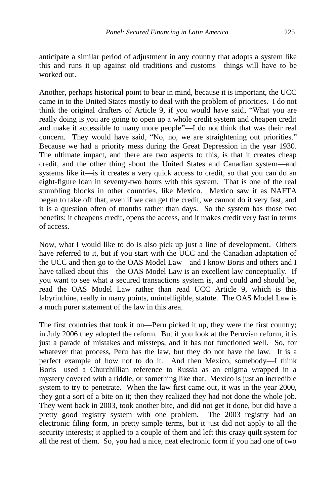anticipate a similar period of adjustment in any country that adopts a system like this and runs it up against old traditions and customs—things will have to be worked out.

Another, perhaps historical point to bear in mind, because it is important, the UCC came in to the United States mostly to deal with the problem of priorities. I do not think the original drafters of Article 9, if you would have said, "What you are really doing is you are going to open up a whole credit system and cheapen credit and make it accessible to many more people"—I do not think that was their real concern. They would have said, "No, no, we are straightening out priorities." Because we had a priority mess during the Great Depression in the year 1930. The ultimate impact, and there are two aspects to this, is that it creates cheap credit, and the other thing about the United States and Canadian system—and systems like it—is it creates a very quick access to credit, so that you can do an eight-figure loan in seventy-two hours with this system. That is one of the real stumbling blocks in other countries, like Mexico. Mexico saw it as NAFTA began to take off that, even if we can get the credit, we cannot do it very fast, and it is a question often of months rather than days. So the system has those two benefits: it cheapens credit, opens the access, and it makes credit very fast in terms of access.

Now, what I would like to do is also pick up just a line of development. Others have referred to it, but if you start with the UCC and the Canadian adaptation of the UCC and then go to the OAS Model Law—and I know Boris and others and I have talked about this—the OAS Model Law is an excellent law conceptually. If you want to see what a secured transactions system is, and could and should be, read the OAS Model Law rather than read UCC Article 9, which is this labyrinthine, really in many points, unintelligible, statute. The OAS Model Law is a much purer statement of the law in this area.

The first countries that took it on—Peru picked it up, they were the first country; in July 2006 they adopted the reform. But if you look at the Peruvian reform, it is just a parade of mistakes and missteps, and it has not functioned well. So, for whatever that process, Peru has the law, but they do not have the law. It is a perfect example of how not to do it. And then Mexico, somebody—I think Boris—used a Churchillian reference to Russia as an enigma wrapped in a mystery covered with a riddle, or something like that. Mexico is just an incredible system to try to penetrate. When the law first came out, it was in the year 2000, they got a sort of a bite on it; then they realized they had not done the whole job. They went back in 2003, took another bite, and did not get it done, but did have a pretty good registry system with one problem. The 2003 registry had an electronic filing form, in pretty simple terms, but it just did not apply to all the security interests; it applied to a couple of them and left this crazy quilt system for all the rest of them. So, you had a nice, neat electronic form if you had one of two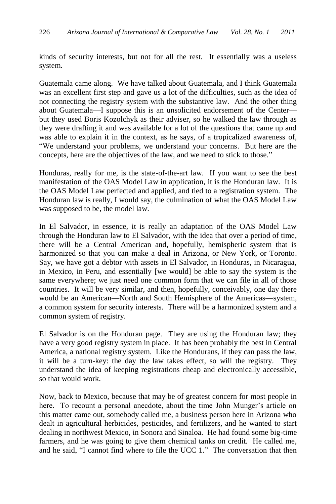kinds of security interests, but not for all the rest. It essentially was a useless system.

Guatemala came along. We have talked about Guatemala, and I think Guatemala was an excellent first step and gave us a lot of the difficulties, such as the idea of not connecting the registry system with the substantive law. And the other thing about Guatemala—I suppose this is an unsolicited endorsement of the Center but they used Boris Kozolchyk as their adviser, so he walked the law through as they were drafting it and was available for a lot of the questions that came up and was able to explain it in the context, as he says, of a tropicalized awareness of, "We understand your problems, we understand your concerns. But here are the concepts, here are the objectives of the law, and we need to stick to those."

Honduras, really for me, is the state-of-the-art law. If you want to see the best manifestation of the OAS Model Law in application, it is the Honduran law. It is the OAS Model Law perfected and applied, and tied to a registration system. The Honduran law is really, I would say, the culmination of what the OAS Model Law was supposed to be, the model law.

In El Salvador, in essence, it is really an adaptation of the OAS Model Law through the Honduran law to El Salvador, with the idea that over a period of time, there will be a Central American and, hopefully, hemispheric system that is harmonized so that you can make a deal in Arizona, or New York, or Toronto. Say, we have got a debtor with assets in El Salvador, in Honduras, in Nicaragua, in Mexico, in Peru, and essentially [we would] be able to say the system is the same everywhere; we just need one common form that we can file in all of those countries. It will be very similar, and then, hopefully, conceivably, one day there would be an American—North and South Hemisphere of the Americas—system, a common system for security interests. There will be a harmonized system and a common system of registry.

El Salvador is on the Honduran page. They are using the Honduran law; they have a very good registry system in place. It has been probably the best in Central America, a national registry system. Like the Hondurans, if they can pass the law, it will be a turn-key: the day the law takes effect, so will the registry. They understand the idea of keeping registrations cheap and electronically accessible, so that would work.

Now, back to Mexico, because that may be of greatest concern for most people in here. To recount a personal anecdote, about the time John Munger's article on this matter came out, somebody called me, a business person here in Arizona who dealt in agricultural herbicides, pesticides, and fertilizers, and he wanted to start dealing in northwest Mexico, in Sonora and Sinaloa. He had found some big-time farmers, and he was going to give them chemical tanks on credit. He called me, and he said, "I cannot find where to file the UCC 1." The conversation that then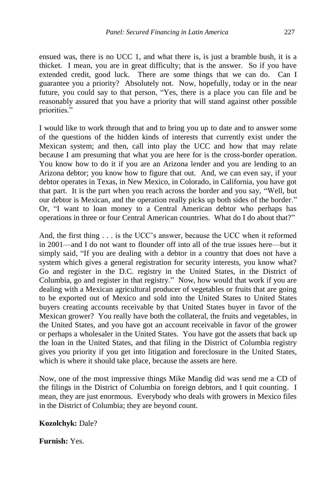ensued was, there is no UCC 1, and what there is, is just a bramble bush, it is a thicket. I mean, you are in great difficulty; that is the answer. So if you have extended credit, good luck. There are some things that we can do. Can I guarantee you a priority? Absolutely not. Now, hopefully, today or in the near future, you could say to that person, "Yes, there is a place you can file and be reasonably assured that you have a priority that will stand against other possible priorities."

I would like to work through that and to bring you up to date and to answer some of the questions of the hidden kinds of interests that currently exist under the Mexican system; and then, call into play the UCC and how that may relate because I am presuming that what you are here for is the cross-border operation. You know how to do it if you are an Arizona lender and you are lending to an Arizona debtor; you know how to figure that out. And, we can even say, if your debtor operates in Texas, in New Mexico, in Colorado, in California, you have got that part. It is the part when you reach across the border and you say, "Well, but our debtor is Mexican, and the operation really picks up both sides of the border." Or, "I want to loan money to a Central American debtor who perhaps has operations in three or four Central American countries. What do I do about that?"

And, the first thing . . . is the UCC's answer, because the UCC when it reformed in 2001—and I do not want to flounder off into all of the true issues here—but it simply said, "If you are dealing with a debtor in a country that does not have a system which gives a general registration for security interests, you know what? Go and register in the D.C. registry in the United States, in the District of Columbia, go and register in that registry." Now, how would that work if you are dealing with a Mexican agricultural producer of vegetables or fruits that are going to be exported out of Mexico and sold into the United States to United States buyers creating accounts receivable by that United States buyer in favor of the Mexican grower? You really have both the collateral, the fruits and vegetables, in the United States, and you have got an account receivable in favor of the grower or perhaps a wholesaler in the United States. You have got the assets that back up the loan in the United States, and that filing in the District of Columbia registry gives you priority if you get into litigation and foreclosure in the United States, which is where it should take place, because the assets are here.

Now, one of the most impressive things Mike Mandig did was send me a CD of the filings in the District of Columbia on foreign debtors, and I quit counting. I mean, they are just enormous. Everybody who deals with growers in Mexico files in the District of Columbia; they are beyond count.

**Kozolchyk:** Dale?

**Furnish:** Yes.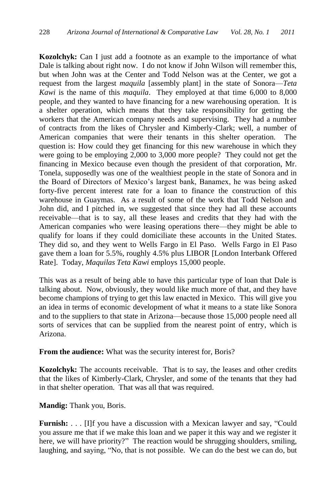**Kozolchyk:** Can I just add a footnote as an example to the importance of what Dale is talking about right now. I do not know if John Wilson will remember this, but when John was at the Center and Todd Nelson was at the Center, we got a request from the largest *maquila* [assembly plant] in the state of Sonora—*Teta Kawi* is the name of this *maquila*. They employed at that time 6,000 to 8,000 people, and they wanted to have financing for a new warehousing operation. It is a shelter operation, which means that they take responsibility for getting the workers that the American company needs and supervising. They had a number of contracts from the likes of Chrysler and Kimberly-Clark; well, a number of American companies that were their tenants in this shelter operation. The question is: How could they get financing for this new warehouse in which they were going to be employing 2,000 to 3,000 more people? They could not get the financing in Mexico because even though the president of that corporation, Mr. Tonela, supposedly was one of the wealthiest people in the state of Sonora and in the Board of Directors of Mexico's largest bank, Banamex, he was being asked forty-five percent interest rate for a loan to finance the construction of this warehouse in Guaymas. As a result of some of the work that Todd Nelson and John did, and I pitched in, we suggested that since they had all these accounts receivable—that is to say, all these leases and credits that they had with the American companies who were leasing operations there—they might be able to qualify for loans if they could domiciliate these accounts in the United States. They did so, and they went to Wells Fargo in El Paso. Wells Fargo in El Paso gave them a loan for 5.5%, roughly 4.5% plus LIBOR [London Interbank Offered Rate]. Today, *Maquilas Teta Kawi* employs 15,000 people.

This was as a result of being able to have this particular type of loan that Dale is talking about. Now, obviously, they would like much more of that, and they have become champions of trying to get this law enacted in Mexico. This will give you an idea in terms of economic development of what it means to a state like Sonora and to the suppliers to that state in Arizona—because those 15,000 people need all sorts of services that can be supplied from the nearest point of entry, which is Arizona.

**From the audience:** What was the security interest for, Boris?

**Kozolchyk:** The accounts receivable. That is to say, the leases and other credits that the likes of Kimberly-Clark, Chrysler, and some of the tenants that they had in that shelter operation. That was all that was required.

**Mandig:** Thank you, Boris.

**Furnish:** . . . [I]f you have a discussion with a Mexican lawyer and say, "Could you assure me that if we make this loan and we paper it this way and we register it here, we will have priority?" The reaction would be shrugging shoulders, smiling, laughing, and saying, "No, that is not possible. We can do the best we can do, but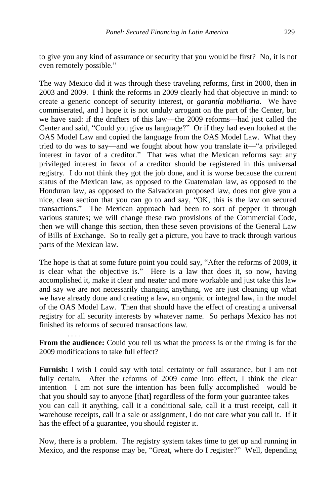to give you any kind of assurance or security that you would be first? No, it is not even remotely possible."

The way Mexico did it was through these traveling reforms, first in 2000, then in 2003 and 2009. I think the reforms in 2009 clearly had that objective in mind: to create a generic concept of security interest, or *garantía mobiliaria*. We have commiserated, and I hope it is not unduly arrogant on the part of the Center, but we have said: if the drafters of this law—the 2009 reforms—had just called the Center and said, "Could you give us language?" Or if they had even looked at the OAS Model Law and copied the language from the OAS Model Law. What they tried to do was to say—and we fought about how you translate it—"a privileged interest in favor of a creditor." That was what the Mexican reforms say: any privileged interest in favor of a creditor should be registered in this universal registry. I do not think they got the job done, and it is worse because the current status of the Mexican law, as opposed to the Guatemalan law, as opposed to the Honduran law, as opposed to the Salvadoran proposed law, does not give you a nice, clean section that you can go to and say, "OK, this is the law on secured transactions." The Mexican approach had been to sort of pepper it through various statutes; we will change these two provisions of the Commercial Code, then we will change this section, then these seven provisions of the General Law of Bills of Exchange. So to really get a picture, you have to track through various parts of the Mexican law.

The hope is that at some future point you could say, "After the reforms of 2009, it is clear what the objective is." Here is a law that does it, so now, having accomplished it, make it clear and neater and more workable and just take this law and say we are not necessarily changing anything, we are just cleaning up what we have already done and creating a law, an organic or integral law, in the model of the OAS Model Law. Then that should have the effect of creating a universal registry for all security interests by whatever name. So perhaps Mexico has not finished its reforms of secured transactions law.

**From the audience:** Could you tell us what the process is or the timing is for the 2009 modifications to take full effect?

. . . .

**Furnish:** I wish I could say with total certainty or full assurance, but I am not fully certain. After the reforms of 2009 come into effect, I think the clear intention—I am not sure the intention has been fully accomplished—would be that you should say to anyone [that] regardless of the form your guarantee takes you can call it anything, call it a conditional sale, call it a trust receipt, call it warehouse receipts, call it a sale or assignment, I do not care what you call it. If it has the effect of a guarantee, you should register it.

Now, there is a problem. The registry system takes time to get up and running in Mexico, and the response may be, "Great, where do I register?" Well, depending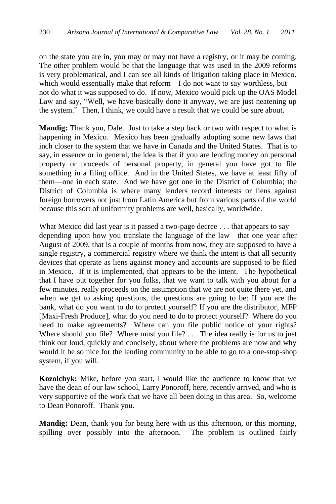on the state you are in, you may or may not have a registry, or it may be coming. The other problem would be that the language that was used in the 2009 reforms is very problematical, and I can see all kinds of litigation taking place in Mexico, which would essentially make that reform—I do not want to say worthless, but not do what it was supposed to do. If now, Mexico would pick up the OAS Model Law and say, "Well, we have basically done it anyway, we are just neatening up the system." Then, I think, we could have a result that we could be sure about.

**Mandig:** Thank you, Dale. Just to take a step back or two with respect to what is happening in Mexico. Mexico has been gradually adopting some new laws that inch closer to the system that we have in Canada and the United States. That is to say, in essence or in general, the idea is that if you are lending money on personal property or proceeds of personal property, in general you have got to file something in a filing office. And in the United States, we have at least fifty of them—one in each state. And we have got one in the District of Columbia; the District of Columbia is where many lenders record interests or liens against foreign borrowers not just from Latin America but from various parts of the world because this sort of uniformity problems are well, basically, worldwide.

What Mexico did last year is it passed a two-page decree . . . that appears to say depending upon how you translate the language of the law—that one year after August of 2009, that is a couple of months from now, they are supposed to have a single registry, a commercial registry where we think the intent is that all security devices that operate as liens against money and accounts are supposed to be filed in Mexico. If it is implemented, that appears to be the intent. The hypothetical that I have put together for you folks, that we want to talk with you about for a few minutes, really proceeds on the assumption that we are not quite there yet, and when we get to asking questions, the questions are going to be: If you are the bank, what do you want to do to protect yourself? If you are the distributor, MFP [Maxi-Fresh Produce], what do you need to do to protect yourself? Where do you need to make agreements? Where can you file public notice of your rights? Where should you file? Where must you file? . . . The idea really is for us to just think out loud, quickly and concisely, about where the problems are now and why would it be so nice for the lending community to be able to go to a one-stop-shop system, if you will.

**Kozolchyk:** Mike, before you start, I would like the audience to know that we have the dean of our law school, Larry Ponoroff, here, recently arrived, and who is very supportive of the work that we have all been doing in this area. So, welcome to Dean Ponoroff. Thank you.

**Mandig:** Dean, thank you for being here with us this afternoon, or this morning, spilling over possibly into the afternoon. The problem is outlined fairly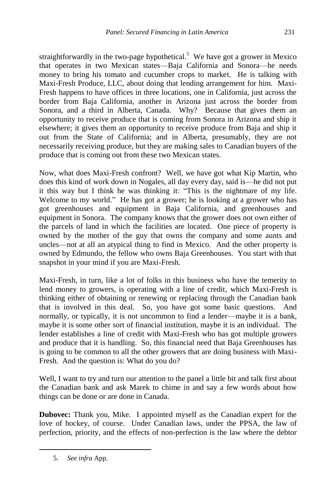straightforwardly in the two-page hypothetical.<sup>5</sup> We have got a grower in Mexico that operates in two Mexican states—Baja California and Sonora—he needs money to bring his tomato and cucumber crops to market. He is talking with Maxi-Fresh Produce, LLC, about doing that lending arrangement for him. Maxi-Fresh happens to have offices in three locations, one in California, just across the border from Baja California, another in Arizona just across the border from Sonora, and a third in Alberta, Canada. Why? Because that gives them an opportunity to receive produce that is coming from Sonora in Arizona and ship it elsewhere; it gives them an opportunity to receive produce from Baja and ship it out from the State of California; and in Alberta, presumably, they are not necessarily receiving produce, but they are making sales to Canadian buyers of the produce that is coming out from these two Mexican states.

Now, what does Maxi-Fresh confront? Well, we have got what Kip Martin, who does this kind of work down in Nogales, all day every day, said is—he did not put it this way but I think he was thinking it: "This is the nightmare of my life. Welcome to my world." He has got a grower; he is looking at a grower who has got greenhouses and equipment in Baja California, and greenhouses and equipment in Sonora. The company knows that the grower does not own either of the parcels of land in which the facilities are located. One piece of property is owned by the mother of the guy that owns the company and some aunts and uncles—not at all an atypical thing to find in Mexico. And the other property is owned by Edmundo, the fellow who owns Baja Greenhouses. You start with that snapshot in your mind if you are Maxi-Fresh.

Maxi-Fresh, in turn, like a lot of folks in this business who have the temerity to lend money to growers, is operating with a line of credit, which Maxi-Fresh is thinking either of obtaining or renewing or replacing through the Canadian bank that is involved in this deal. So, you have got some basic questions. And normally, or typically, it is not uncommon to find a lender—maybe it is a bank, maybe it is some other sort of financial institution, maybe it is an individual. The lender establishes a line of credit with Maxi-Fresh who has got multiple growers and produce that it is handling. So, this financial need that Baja Greenhouses has is going to be common to all the other growers that are doing business with Maxi-Fresh. And the question is: What do you do?

Well, I want to try and turn our attention to the panel a little bit and talk first about the Canadian bank and ask Marek to chime in and say a few words about how things can be done or are done in Canada.

**Dubovec:** Thank you, Mike. I appointed myself as the Canadian expert for the love of hockey, of course. Under Canadian laws, under the PPSA, the law of perfection, priority, and the effects of non-perfection is the law where the debtor

 $\overline{a}$ 

<sup>5.</sup> *See infra* App.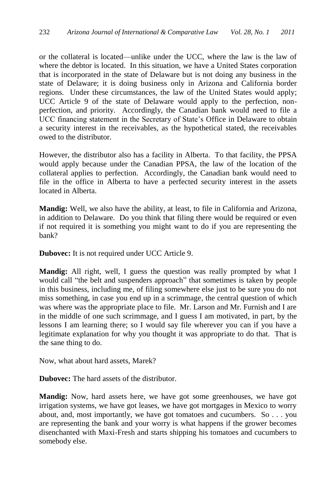or the collateral is located—unlike under the UCC, where the law is the law of where the debtor is located. In this situation, we have a United States corporation that is incorporated in the state of Delaware but is not doing any business in the state of Delaware; it is doing business only in Arizona and California border regions. Under these circumstances, the law of the United States would apply; UCC Article 9 of the state of Delaware would apply to the perfection, nonperfection, and priority. Accordingly, the Canadian bank would need to file a UCC financing statement in the Secretary of State's Office in Delaware to obtain a security interest in the receivables, as the hypothetical stated, the receivables owed to the distributor.

However, the distributor also has a facility in Alberta. To that facility, the PPSA would apply because under the Canadian PPSA, the law of the location of the collateral applies to perfection. Accordingly, the Canadian bank would need to file in the office in Alberta to have a perfected security interest in the assets located in Alberta.

**Mandig:** Well, we also have the ability, at least, to file in California and Arizona, in addition to Delaware. Do you think that filing there would be required or even if not required it is something you might want to do if you are representing the bank?

**Dubovec:** It is not required under UCC Article 9.

**Mandig:** All right, well, I guess the question was really prompted by what I would call "the belt and suspenders approach" that sometimes is taken by people in this business, including me, of filing somewhere else just to be sure you do not miss something, in case you end up in a scrimmage, the central question of which was where was the appropriate place to file. Mr. Larson and Mr. Furnish and I are in the middle of one such scrimmage, and I guess I am motivated, in part, by the lessons I am learning there; so I would say file wherever you can if you have a legitimate explanation for why you thought it was appropriate to do that. That is the sane thing to do.

Now, what about hard assets, Marek?

**Dubovec:** The hard assets of the distributor.

**Mandig:** Now, hard assets here, we have got some greenhouses, we have got irrigation systems, we have got leases, we have got mortgages in Mexico to worry about, and, most importantly, we have got tomatoes and cucumbers. So . . . you are representing the bank and your worry is what happens if the grower becomes disenchanted with Maxi-Fresh and starts shipping his tomatoes and cucumbers to somebody else.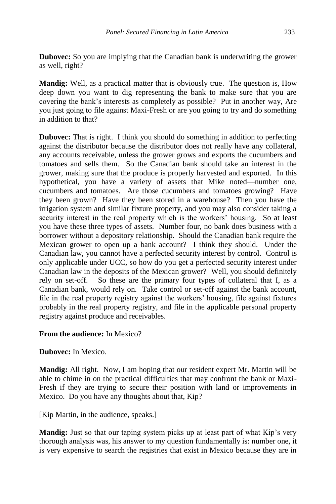**Dubovec:** So you are implying that the Canadian bank is underwriting the grower as well, right?

**Mandig:** Well, as a practical matter that is obviously true. The question is, How deep down you want to dig representing the bank to make sure that you are covering the bank's interests as completely as possible? Put in another way, Are you just going to file against Maxi-Fresh or are you going to try and do something in addition to that?

**Dubovec:** That is right. I think you should do something in addition to perfecting against the distributor because the distributor does not really have any collateral, any accounts receivable, unless the grower grows and exports the cucumbers and tomatoes and sells them. So the Canadian bank should take an interest in the grower, making sure that the produce is properly harvested and exported. In this hypothetical, you have a variety of assets that Mike noted—number one, cucumbers and tomatoes. Are those cucumbers and tomatoes growing? Have they been grown? Have they been stored in a warehouse? Then you have the irrigation system and similar fixture property, and you may also consider taking a security interest in the real property which is the workers' housing. So at least you have these three types of assets. Number four, no bank does business with a borrower without a depository relationship. Should the Canadian bank require the Mexican grower to open up a bank account? I think they should. Under the Canadian law, you cannot have a perfected security interest by control. Control is only applicable under UCC, so how do you get a perfected security interest under Canadian law in the deposits of the Mexican grower? Well, you should definitely rely on set-off. So these are the primary four types of collateral that I, as a Canadian bank, would rely on. Take control or set-off against the bank account, file in the real property registry against the workers' housing, file against fixtures probably in the real property registry, and file in the applicable personal property registry against produce and receivables.

# **From the audience:** In Mexico?

**Dubovec:** In Mexico.

**Mandig:** All right. Now, I am hoping that our resident expert Mr. Martin will be able to chime in on the practical difficulties that may confront the bank or Maxi-Fresh if they are trying to secure their position with land or improvements in Mexico. Do you have any thoughts about that, Kip?

[Kip Martin, in the audience, speaks.]

**Mandig:** Just so that our taping system picks up at least part of what Kip's very thorough analysis was, his answer to my question fundamentally is: number one, it is very expensive to search the registries that exist in Mexico because they are in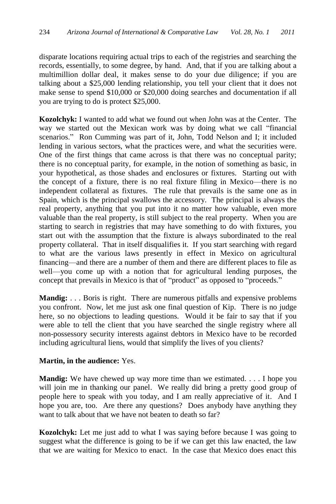disparate locations requiring actual trips to each of the registries and searching the records, essentially, to some degree, by hand. And, that if you are talking about a multimillion dollar deal, it makes sense to do your due diligence; if you are talking about a \$25,000 lending relationship, you tell your client that it does not make sense to spend \$10,000 or \$20,000 doing searches and documentation if all you are trying to do is protect \$25,000.

**Kozolchyk:** I wanted to add what we found out when John was at the Center. The way we started out the Mexican work was by doing what we call "financial scenarios." Ron Cumming was part of it, John, Todd Nelson and I; it included lending in various sectors, what the practices were, and what the securities were. One of the first things that came across is that there was no conceptual parity; there is no conceptual parity, for example, in the notion of something as basic, in your hypothetical, as those shades and enclosures or fixtures. Starting out with the concept of a fixture, there is no real fixture filing in Mexico—there is no independent collateral as fixtures. The rule that prevails is the same one as in Spain, which is the principal swallows the accessory. The principal is always the real property, anything that you put into it no matter how valuable, even more valuable than the real property, is still subject to the real property. When you are starting to search in registries that may have something to do with fixtures, you start out with the assumption that the fixture is always subordinated to the real property collateral. That in itself disqualifies it. If you start searching with regard to what are the various laws presently in effect in Mexico on agricultural financing—and there are a number of them and there are different places to file as well—you come up with a notion that for agricultural lending purposes, the concept that prevails in Mexico is that of "product" as opposed to "proceeds."

**Mandig:** . . . Boris is right. There are numerous pitfalls and expensive problems you confront. Now, let me just ask one final question of Kip. There is no judge here, so no objections to leading questions. Would it be fair to say that if you were able to tell the client that you have searched the single registry where all non-possessory security interests against debtors in Mexico have to be recorded including agricultural liens, would that simplify the lives of you clients?

### **Martin, in the audience:** Yes.

**Mandig:** We have chewed up way more time than we estimated. . . . I hope you will join me in thanking our panel. We really did bring a pretty good group of people here to speak with you today, and I am really appreciative of it. And I hope you are, too. Are there any questions? Does anybody have anything they want to talk about that we have not beaten to death so far?

**Kozolchyk:** Let me just add to what I was saying before because I was going to suggest what the difference is going to be if we can get this law enacted, the law that we are waiting for Mexico to enact. In the case that Mexico does enact this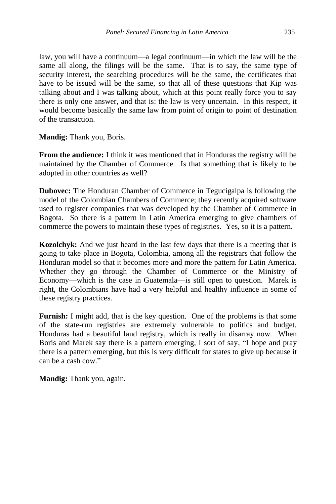law, you will have a continuum—a legal continuum—in which the law will be the same all along, the filings will be the same. That is to say, the same type of security interest, the searching procedures will be the same, the certificates that have to be issued will be the same, so that all of these questions that Kip was talking about and I was talking about, which at this point really force you to say there is only one answer, and that is: the law is very uncertain. In this respect, it would become basically the same law from point of origin to point of destination of the transaction.

**Mandig:** Thank you, Boris.

**From the audience:** I think it was mentioned that in Honduras the registry will be maintained by the Chamber of Commerce. Is that something that is likely to be adopted in other countries as well?

**Dubovec:** The Honduran Chamber of Commerce in Tegucigalpa is following the model of the Colombian Chambers of Commerce; they recently acquired software used to register companies that was developed by the Chamber of Commerce in Bogota. So there is a pattern in Latin America emerging to give chambers of commerce the powers to maintain these types of registries. Yes, so it is a pattern.

**Kozolchyk:** And we just heard in the last few days that there is a meeting that is going to take place in Bogota, Colombia, among all the registrars that follow the Honduran model so that it becomes more and more the pattern for Latin America. Whether they go through the Chamber of Commerce or the Ministry of Economy—which is the case in Guatemala—is still open to question. Marek is right, the Colombians have had a very helpful and healthy influence in some of these registry practices.

**Furnish:** I might add, that is the key question. One of the problems is that some of the state-run registries are extremely vulnerable to politics and budget. Honduras had a beautiful land registry, which is really in disarray now. When Boris and Marek say there is a pattern emerging, I sort of say, "I hope and pray there is a pattern emerging, but this is very difficult for states to give up because it can be a cash cow."

**Mandig:** Thank you, again.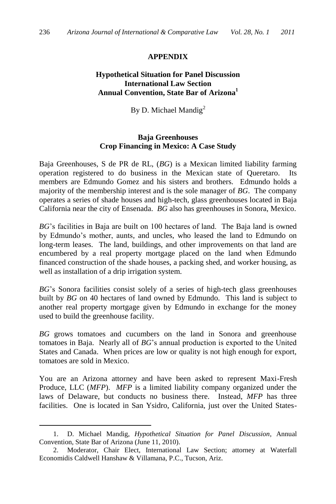# **APPENDIX**

# **Hypothetical Situation for Panel Discussion International Law Section Annual Convention, State Bar of Arizona<sup>1</sup>**

By D. Michael Mandig<sup>2</sup>

### **Baja Greenhouses Crop Financing in Mexico: A Case Study**

Baja Greenhouses, S de PR de RL, (*BG*) is a Mexican limited liability farming operation registered to do business in the Mexican state of Queretaro. members are Edmundo Gomez and his sisters and brothers. Edmundo holds a majority of the membership interest and is the sole manager of *BG*. The company operates a series of shade houses and high-tech, glass greenhouses located in Baja California near the city of Ensenada. *BG* also has greenhouses in Sonora, Mexico.

*BG*'s facilities in Baja are built on 100 hectares of land. The Baja land is owned by Edmundo's mother, aunts, and uncles, who leased the land to Edmundo on long-term leases. The land, buildings, and other improvements on that land are encumbered by a real property mortgage placed on the land when Edmundo financed construction of the shade houses, a packing shed, and worker housing, as well as installation of a drip irrigation system.

*BG*'s Sonora facilities consist solely of a series of high-tech glass greenhouses built by *BG* on 40 hectares of land owned by Edmundo. This land is subject to another real property mortgage given by Edmundo in exchange for the money used to build the greenhouse facility.

*BG* grows tomatoes and cucumbers on the land in Sonora and greenhouse tomatoes in Baja. Nearly all of *BG*'s annual production is exported to the United States and Canada. When prices are low or quality is not high enough for export, tomatoes are sold in Mexico.

You are an Arizona attorney and have been asked to represent Maxi-Fresh Produce, LLC (*MFP*). *MFP* is a limited liability company organized under the laws of Delaware, but conducts no business there. Instead, *MFP* has three facilities. One is located in San Ysidro, California, just over the United States-

 $\overline{a}$ 

<sup>1.</sup> D. Michael Mandig, *Hypothetical Situation for Panel Discussion*, Annual Convention, State Bar of Arizona (June 11, 2010).

<sup>2.</sup> Moderator, Chair Elect, International Law Section; attorney at Waterfall Economidis Caldwell Hanshaw & Villamana, P.C., Tucson, Ariz.